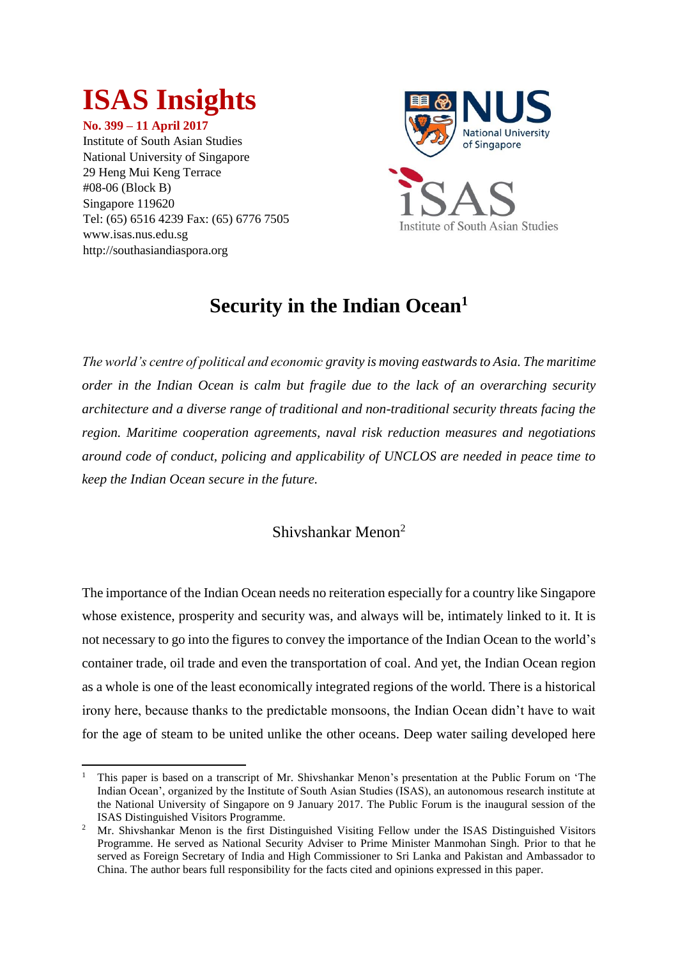# **ISAS Insights**

**No. 399 – 11 April 2017** Institute of South Asian Studies National University of Singapore 29 Heng Mui Keng Terrace #08-06 (Block B) Singapore 119620 Tel: (65) 6516 4239 Fax: (65) 6776 7505 www.isas.nus.edu.sg http://southasiandiaspora.org



## **Security in the Indian Ocean<sup>1</sup>**

*The world's centre of political and economic gravity is moving eastwards to Asia. The maritime order in the Indian Ocean is calm but fragile due to the lack of an overarching security architecture and a diverse range of traditional and non-traditional security threats facing the region. Maritime cooperation agreements, naval risk reduction measures and negotiations around code of conduct, policing and applicability of UNCLOS are needed in peace time to keep the Indian Ocean secure in the future.* 

### Shivshankar Menon<sup>2</sup>

The importance of the Indian Ocean needs no reiteration especially for a country like Singapore whose existence, prosperity and security was, and always will be, intimately linked to it. It is not necessary to go into the figures to convey the importance of the Indian Ocean to the world's container trade, oil trade and even the transportation of coal. And yet, the Indian Ocean region as a whole is one of the least economically integrated regions of the world. There is a historical irony here, because thanks to the predictable monsoons, the Indian Ocean didn't have to wait for the age of steam to be united unlike the other oceans. Deep water sailing developed here

**<sup>.</sup>** <sup>1</sup> This paper is based on a transcript of Mr. Shivshankar Menon's presentation at the Public Forum on 'The Indian Ocean', organized by the Institute of South Asian Studies (ISAS), an autonomous research institute at the National University of Singapore on 9 January 2017. The Public Forum is the inaugural session of the ISAS Distinguished Visitors Programme.

<sup>&</sup>lt;sup>2</sup> Mr. Shivshankar Menon is the first Distinguished Visiting Fellow under the ISAS Distinguished Visitors Programme. He served as National Security Adviser to Prime Minister Manmohan Singh. Prior to that he served as Foreign Secretary of India and High Commissioner to Sri Lanka and Pakistan and Ambassador to China. The author bears full responsibility for the facts cited and opinions expressed in this paper.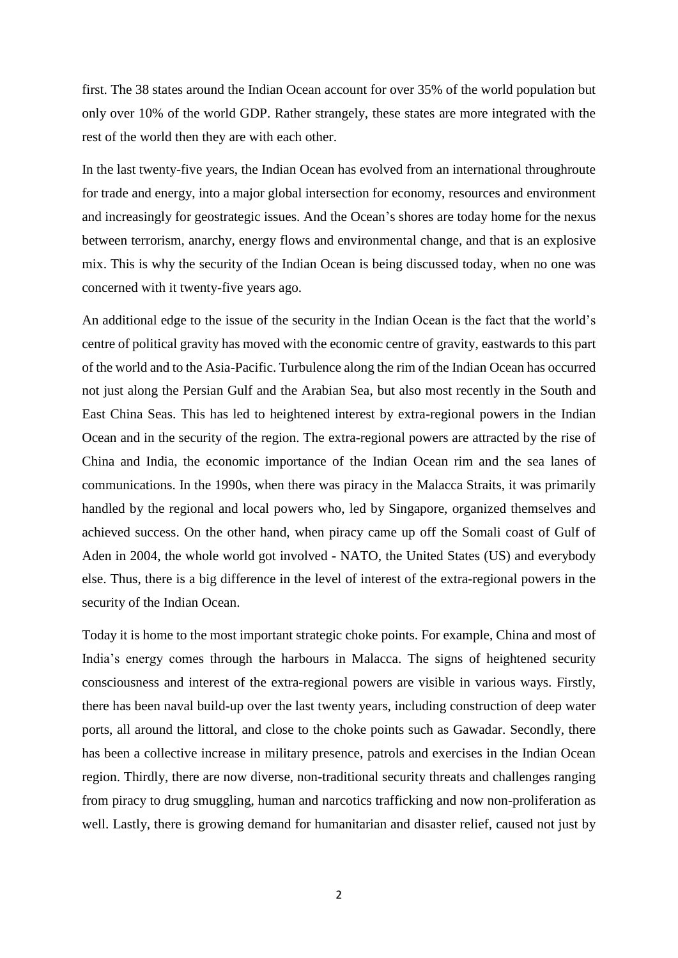first. The 38 states around the Indian Ocean account for over 35% of the world population but only over 10% of the world GDP. Rather strangely, these states are more integrated with the rest of the world then they are with each other.

In the last twenty-five years, the Indian Ocean has evolved from an international throughroute for trade and energy, into a major global intersection for economy, resources and environment and increasingly for geostrategic issues. And the Ocean's shores are today home for the nexus between terrorism, anarchy, energy flows and environmental change, and that is an explosive mix. This is why the security of the Indian Ocean is being discussed today, when no one was concerned with it twenty-five years ago.

An additional edge to the issue of the security in the Indian Ocean is the fact that the world's centre of political gravity has moved with the economic centre of gravity, eastwards to this part of the world and to the Asia-Pacific. Turbulence along the rim of the Indian Ocean has occurred not just along the Persian Gulf and the Arabian Sea, but also most recently in the South and East China Seas. This has led to heightened interest by extra-regional powers in the Indian Ocean and in the security of the region. The extra-regional powers are attracted by the rise of China and India, the economic importance of the Indian Ocean rim and the sea lanes of communications. In the 1990s, when there was piracy in the Malacca Straits, it was primarily handled by the regional and local powers who, led by Singapore, organized themselves and achieved success. On the other hand, when piracy came up off the Somali coast of Gulf of Aden in 2004, the whole world got involved - NATO, the United States (US) and everybody else. Thus, there is a big difference in the level of interest of the extra-regional powers in the security of the Indian Ocean.

Today it is home to the most important strategic choke points. For example, China and most of India's energy comes through the harbours in Malacca. The signs of heightened security consciousness and interest of the extra-regional powers are visible in various ways. Firstly, there has been naval build-up over the last twenty years, including construction of deep water ports, all around the littoral, and close to the choke points such as Gawadar. Secondly, there has been a collective increase in military presence, patrols and exercises in the Indian Ocean region. Thirdly, there are now diverse, non-traditional security threats and challenges ranging from piracy to drug smuggling, human and narcotics trafficking and now non-proliferation as well. Lastly, there is growing demand for humanitarian and disaster relief, caused not just by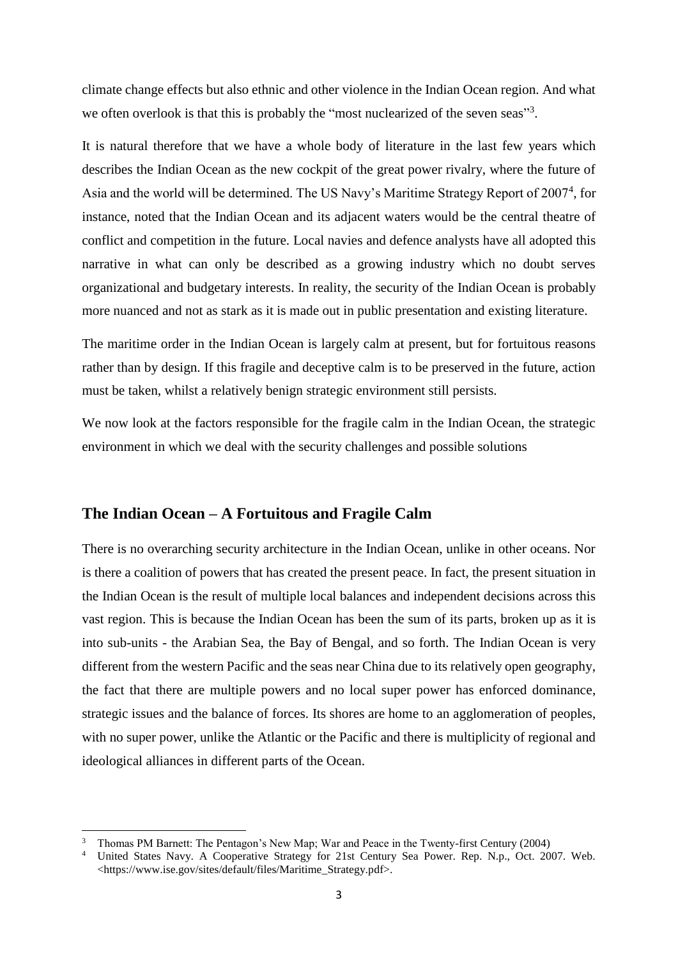climate change effects but also ethnic and other violence in the Indian Ocean region. And what we often overlook is that this is probably the "most nuclearized of the seven seas"<sup>3</sup>.

It is natural therefore that we have a whole body of literature in the last few years which describes the Indian Ocean as the new cockpit of the great power rivalry, where the future of Asia and the world will be determined. The US Navy's Maritime Strategy Report of 2007<sup>4</sup>, for instance, noted that the Indian Ocean and its adjacent waters would be the central theatre of conflict and competition in the future. Local navies and defence analysts have all adopted this narrative in what can only be described as a growing industry which no doubt serves organizational and budgetary interests. In reality, the security of the Indian Ocean is probably more nuanced and not as stark as it is made out in public presentation and existing literature.

The maritime order in the Indian Ocean is largely calm at present, but for fortuitous reasons rather than by design. If this fragile and deceptive calm is to be preserved in the future, action must be taken, whilst a relatively benign strategic environment still persists.

We now look at the factors responsible for the fragile calm in the Indian Ocean, the strategic environment in which we deal with the security challenges and possible solutions

#### **The Indian Ocean – A Fortuitous and Fragile Calm**

1

There is no overarching security architecture in the Indian Ocean, unlike in other oceans. Nor is there a coalition of powers that has created the present peace. In fact, the present situation in the Indian Ocean is the result of multiple local balances and independent decisions across this vast region. This is because the Indian Ocean has been the sum of its parts, broken up as it is into sub-units - the Arabian Sea, the Bay of Bengal, and so forth. The Indian Ocean is very different from the western Pacific and the seas near China due to its relatively open geography, the fact that there are multiple powers and no local super power has enforced dominance, strategic issues and the balance of forces. Its shores are home to an agglomeration of peoples, with no super power, unlike the Atlantic or the Pacific and there is multiplicity of regional and ideological alliances in different parts of the Ocean.

<sup>&</sup>lt;sup>3</sup> Thomas PM Barnett: The Pentagon's New Map; War and Peace in the Twenty-first Century (2004)<br><sup>4</sup> United States Navy A Cooperative Strategy for 21st Century Sea Power, Rep. N.p. Oct. 20

<sup>4</sup> United States Navy. A Cooperative Strategy for 21st Century Sea Power. Rep. N.p., Oct. 2007. Web. <https://www.ise.gov/sites/default/files/Maritime\_Strategy.pdf>.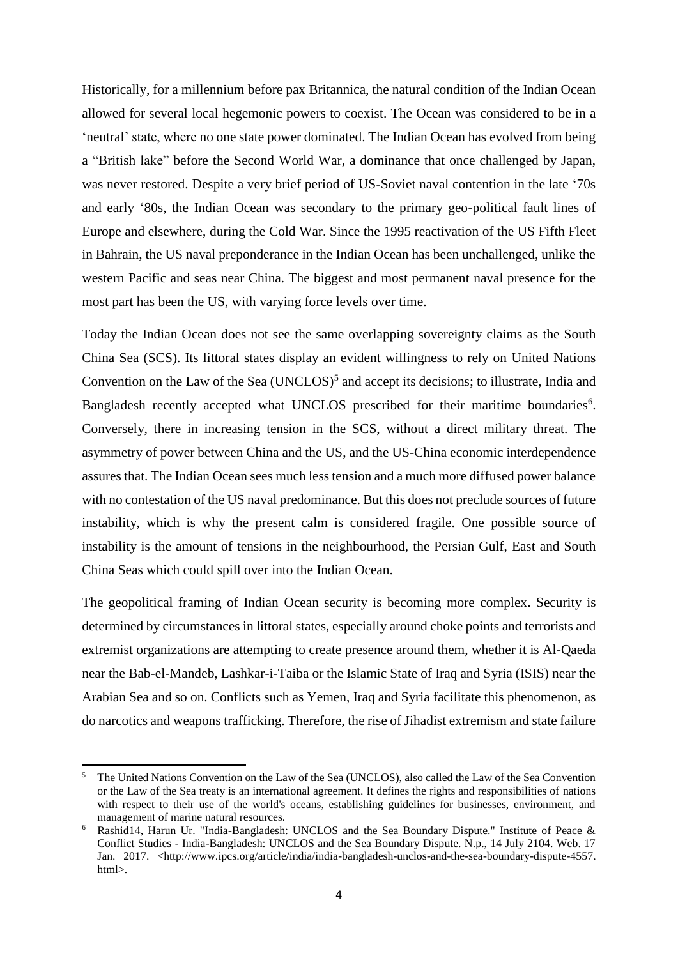Historically, for a millennium before pax Britannica, the natural condition of the Indian Ocean allowed for several local hegemonic powers to coexist. The Ocean was considered to be in a 'neutral' state, where no one state power dominated. The Indian Ocean has evolved from being a "British lake" before the Second World War, a dominance that once challenged by Japan, was never restored. Despite a very brief period of US-Soviet naval contention in the late '70s and early '80s, the Indian Ocean was secondary to the primary geo-political fault lines of Europe and elsewhere, during the Cold War. Since the 1995 reactivation of the US Fifth Fleet in Bahrain, the US naval preponderance in the Indian Ocean has been unchallenged, unlike the western Pacific and seas near China. The biggest and most permanent naval presence for the most part has been the US, with varying force levels over time.

Today the Indian Ocean does not see the same overlapping sovereignty claims as the South China Sea (SCS). Its littoral states display an evident willingness to rely on United Nations Convention on the Law of the Sea  $(UNCLOS)^5$  and accept its decisions; to illustrate, India and Bangladesh recently accepted what UNCLOS prescribed for their maritime boundaries<sup>6</sup>. Conversely, there in increasing tension in the SCS, without a direct military threat. The asymmetry of power between China and the US, and the US-China economic interdependence assures that. The Indian Ocean sees much less tension and a much more diffused power balance with no contestation of the US naval predominance. But this does not preclude sources of future instability, which is why the present calm is considered fragile. One possible source of instability is the amount of tensions in the neighbourhood, the Persian Gulf, East and South China Seas which could spill over into the Indian Ocean.

The geopolitical framing of Indian Ocean security is becoming more complex. Security is determined by circumstances in littoral states, especially around choke points and terrorists and extremist organizations are attempting to create presence around them, whether it is Al-Qaeda near the Bab-el-Mandeb, Lashkar-i-Taiba or the Islamic State of Iraq and Syria (ISIS) near the Arabian Sea and so on. Conflicts such as Yemen, Iraq and Syria facilitate this phenomenon, as do narcotics and weapons trafficking. Therefore, the rise of Jihadist extremism and state failure

**.** 

<sup>5</sup> The United Nations Convention on the Law of the Sea (UNCLOS), also called the Law of the Sea Convention or the Law of the Sea treaty is an international agreement. It defines the rights and responsibilities of nations with respect to their use of the world's oceans, establishing guidelines for businesses, environment, and management of marine natural resources.

Rashid14, Harun Ur. "India-Bangladesh: UNCLOS and the Sea Boundary Dispute." Institute of Peace & Conflict Studies - India-Bangladesh: UNCLOS and the Sea Boundary Dispute. N.p., 14 July 2104. Web. 17 Jan. 2017. <http://www.ipcs.org/article/india/india-bangladesh-unclos-and-the-sea-boundary-dispute-4557. html>.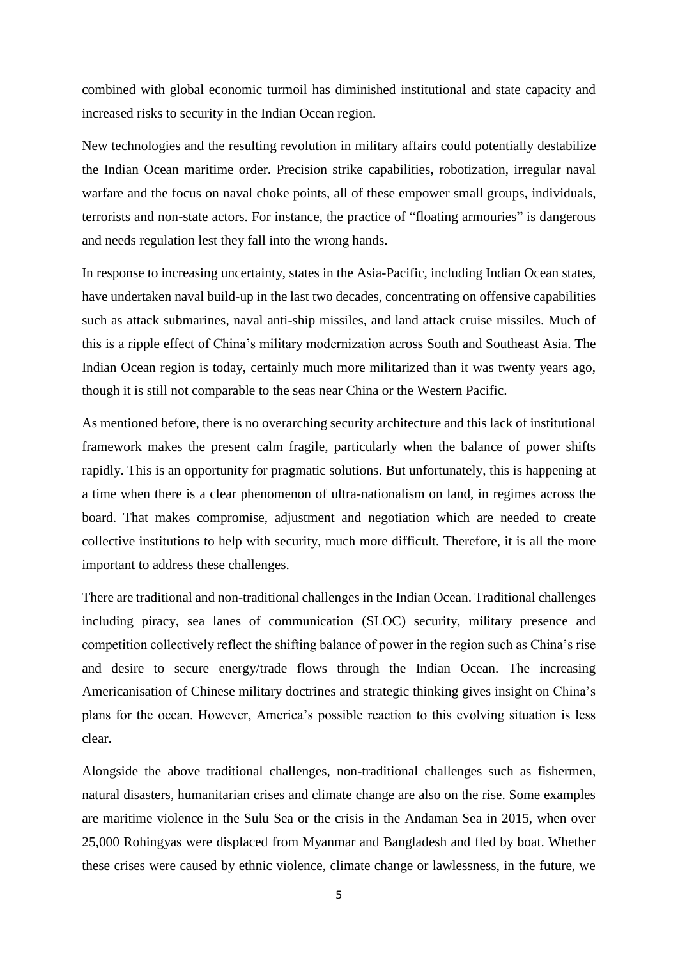combined with global economic turmoil has diminished institutional and state capacity and increased risks to security in the Indian Ocean region.

New technologies and the resulting revolution in military affairs could potentially destabilize the Indian Ocean maritime order. Precision strike capabilities, robotization, irregular naval warfare and the focus on naval choke points, all of these empower small groups, individuals, terrorists and non-state actors. For instance, the practice of "floating armouries" is dangerous and needs regulation lest they fall into the wrong hands.

In response to increasing uncertainty, states in the Asia-Pacific, including Indian Ocean states, have undertaken naval build-up in the last two decades, concentrating on offensive capabilities such as attack submarines, naval anti-ship missiles, and land attack cruise missiles. Much of this is a ripple effect of China's military modernization across South and Southeast Asia. The Indian Ocean region is today, certainly much more militarized than it was twenty years ago, though it is still not comparable to the seas near China or the Western Pacific.

As mentioned before, there is no overarching security architecture and this lack of institutional framework makes the present calm fragile, particularly when the balance of power shifts rapidly. This is an opportunity for pragmatic solutions. But unfortunately, this is happening at a time when there is a clear phenomenon of ultra-nationalism on land, in regimes across the board. That makes compromise, adjustment and negotiation which are needed to create collective institutions to help with security, much more difficult. Therefore, it is all the more important to address these challenges.

There are traditional and non-traditional challenges in the Indian Ocean. Traditional challenges including piracy, sea lanes of communication (SLOC) security, military presence and competition collectively reflect the shifting balance of power in the region such as China's rise and desire to secure energy/trade flows through the Indian Ocean. The increasing Americanisation of Chinese military doctrines and strategic thinking gives insight on China's plans for the ocean. However, America's possible reaction to this evolving situation is less clear.

Alongside the above traditional challenges, non-traditional challenges such as fishermen, natural disasters, humanitarian crises and climate change are also on the rise. Some examples are maritime violence in the Sulu Sea or the crisis in the Andaman Sea in 2015, when over 25,000 Rohingyas were displaced from Myanmar and Bangladesh and fled by boat. Whether these crises were caused by ethnic violence, climate change or lawlessness, in the future, we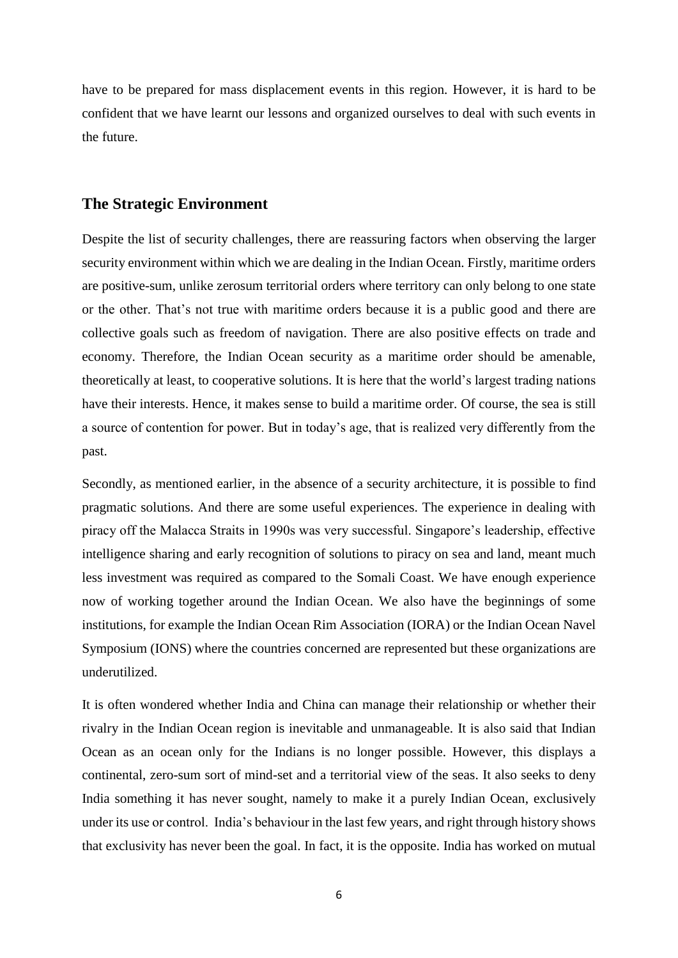have to be prepared for mass displacement events in this region. However, it is hard to be confident that we have learnt our lessons and organized ourselves to deal with such events in the future.

#### **The Strategic Environment**

Despite the list of security challenges, there are reassuring factors when observing the larger security environment within which we are dealing in the Indian Ocean. Firstly, maritime orders are positive-sum, unlike zerosum territorial orders where territory can only belong to one state or the other. That's not true with maritime orders because it is a public good and there are collective goals such as freedom of navigation. There are also positive effects on trade and economy. Therefore, the Indian Ocean security as a maritime order should be amenable, theoretically at least, to cooperative solutions. It is here that the world's largest trading nations have their interests. Hence, it makes sense to build a maritime order. Of course, the sea is still a source of contention for power. But in today's age, that is realized very differently from the past.

Secondly, as mentioned earlier, in the absence of a security architecture, it is possible to find pragmatic solutions. And there are some useful experiences. The experience in dealing with piracy off the Malacca Straits in 1990s was very successful. Singapore's leadership, effective intelligence sharing and early recognition of solutions to piracy on sea and land, meant much less investment was required as compared to the Somali Coast. We have enough experience now of working together around the Indian Ocean. We also have the beginnings of some institutions, for example the Indian Ocean Rim Association (IORA) or the Indian Ocean Navel Symposium (IONS) where the countries concerned are represented but these organizations are underutilized.

It is often wondered whether India and China can manage their relationship or whether their rivalry in the Indian Ocean region is inevitable and unmanageable. It is also said that Indian Ocean as an ocean only for the Indians is no longer possible. However, this displays a continental, zero-sum sort of mind-set and a territorial view of the seas. It also seeks to deny India something it has never sought, namely to make it a purely Indian Ocean, exclusively under its use or control. India's behaviour in the last few years, and right through history shows that exclusivity has never been the goal. In fact, it is the opposite. India has worked on mutual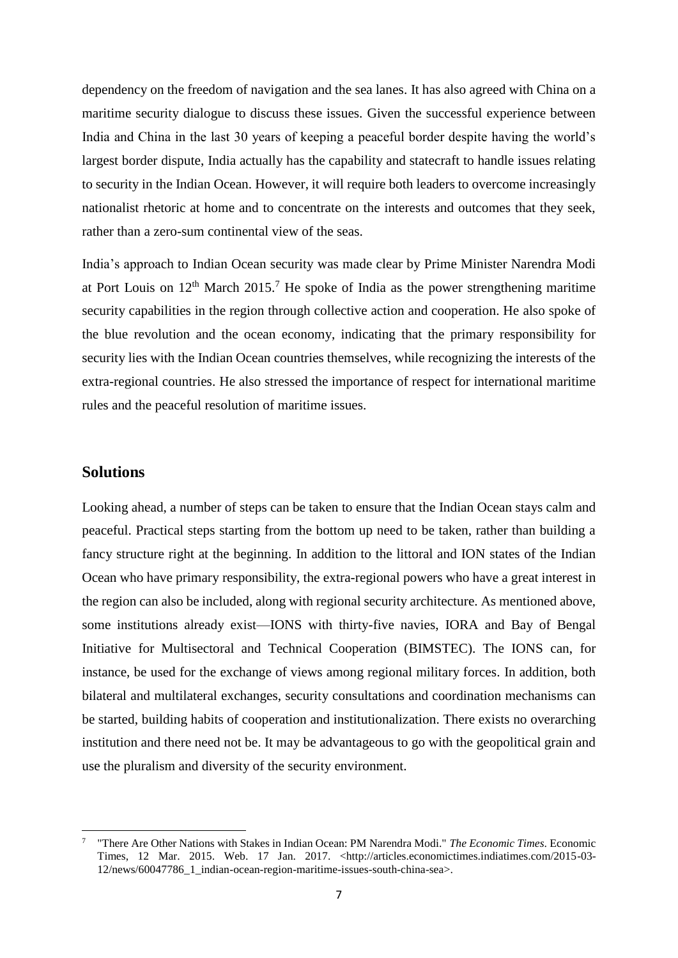dependency on the freedom of navigation and the sea lanes. It has also agreed with China on a maritime security dialogue to discuss these issues. Given the successful experience between India and China in the last 30 years of keeping a peaceful border despite having the world's largest border dispute, India actually has the capability and statecraft to handle issues relating to security in the Indian Ocean. However, it will require both leaders to overcome increasingly nationalist rhetoric at home and to concentrate on the interests and outcomes that they seek, rather than a zero-sum continental view of the seas.

India's approach to Indian Ocean security was made clear by Prime Minister Narendra Modi at Port Louis on  $12<sup>th</sup>$  March  $2015<sup>7</sup>$  He spoke of India as the power strengthening maritime security capabilities in the region through collective action and cooperation. He also spoke of the blue revolution and the ocean economy, indicating that the primary responsibility for security lies with the Indian Ocean countries themselves, while recognizing the interests of the extra-regional countries. He also stressed the importance of respect for international maritime rules and the peaceful resolution of maritime issues.

#### **Solutions**

1

Looking ahead, a number of steps can be taken to ensure that the Indian Ocean stays calm and peaceful. Practical steps starting from the bottom up need to be taken, rather than building a fancy structure right at the beginning. In addition to the littoral and ION states of the Indian Ocean who have primary responsibility, the extra-regional powers who have a great interest in the region can also be included, along with regional security architecture. As mentioned above, some institutions already exist—IONS with thirty-five navies, IORA and Bay of Bengal Initiative for Multisectoral and Technical Cooperation (BIMSTEC). The IONS can, for instance, be used for the exchange of views among regional military forces. In addition, both bilateral and multilateral exchanges, security consultations and coordination mechanisms can be started, building habits of cooperation and institutionalization. There exists no overarching institution and there need not be. It may be advantageous to go with the geopolitical grain and use the pluralism and diversity of the security environment.

<sup>7</sup> "There Are Other Nations with Stakes in Indian Ocean: PM Narendra Modi." *The Economic Times*. Economic Times, 12 Mar. 2015. Web. 17 Jan. 2017. <http://articles.economictimes.indiatimes.com/2015-03- 12/news/60047786\_1\_indian-ocean-region-maritime-issues-south-china-sea>.